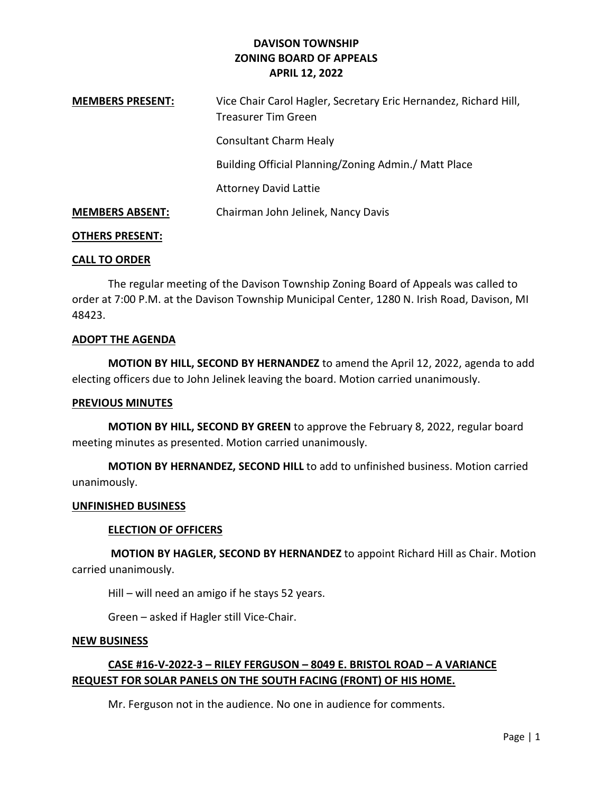| <b>MEMBERS PRESENT:</b> | Vice Chair Carol Hagler, Secretary Eric Hernandez, Richard Hill,<br>Treasurer Tim Green |
|-------------------------|-----------------------------------------------------------------------------------------|
|                         | <b>Consultant Charm Healy</b>                                                           |
|                         | Building Official Planning/Zoning Admin./ Matt Place                                    |
|                         | <b>Attorney David Lattie</b>                                                            |
| <b>MEMBERS ABSENT:</b>  | Chairman John Jelinek, Nancy Davis                                                      |

### OTHERS PRESENT:

### CALL TO ORDER

 The regular meeting of the Davison Township Zoning Board of Appeals was called to order at 7:00 P.M. at the Davison Township Municipal Center, 1280 N. Irish Road, Davison, MI 48423.

### ADOPT THE AGENDA

MOTION BY HILL, SECOND BY HERNANDEZ to amend the April 12, 2022, agenda to add electing officers due to John Jelinek leaving the board. Motion carried unanimously.

### PREVIOUS MINUTES

MOTION BY HILL, SECOND BY GREEN to approve the February 8, 2022, regular board meeting minutes as presented. Motion carried unanimously.

MOTION BY HERNANDEZ, SECOND HILL to add to unfinished business. Motion carried unanimously.

#### UNFINISHED BUSINESS

#### ELECTION OF OFFICERS

 MOTION BY HAGLER, SECOND BY HERNANDEZ to appoint Richard Hill as Chair. Motion carried unanimously.

Hill – will need an amigo if he stays 52 years.

Green – asked if Hagler still Vice-Chair.

#### NEW BUSINESS

# CASE #16-V-2022-3 – RILEY FERGUSON – 8049 E. BRISTOL ROAD – A VARIANCE REQUEST FOR SOLAR PANELS ON THE SOUTH FACING (FRONT) OF HIS HOME.

Mr. Ferguson not in the audience. No one in audience for comments.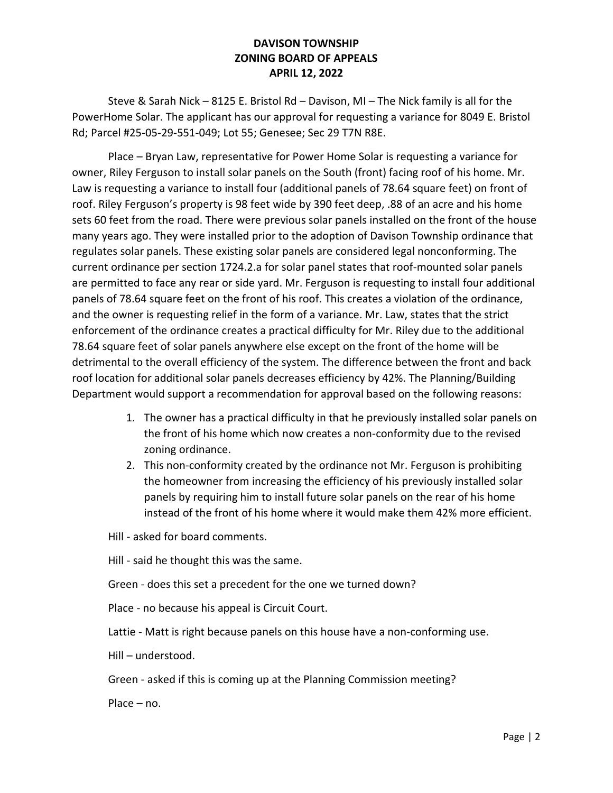Steve & Sarah Nick – 8125 E. Bristol Rd – Davison, MI – The Nick family is all for the PowerHome Solar. The applicant has our approval for requesting a variance for 8049 E. Bristol Rd; Parcel #25-05-29-551-049; Lot 55; Genesee; Sec 29 T7N R8E.

 Place – Bryan Law, representative for Power Home Solar is requesting a variance for owner, Riley Ferguson to install solar panels on the South (front) facing roof of his home. Mr. Law is requesting a variance to install four (additional panels of 78.64 square feet) on front of roof. Riley Ferguson's property is 98 feet wide by 390 feet deep, .88 of an acre and his home sets 60 feet from the road. There were previous solar panels installed on the front of the house many years ago. They were installed prior to the adoption of Davison Township ordinance that regulates solar panels. These existing solar panels are considered legal nonconforming. The current ordinance per section 1724.2.a for solar panel states that roof-mounted solar panels are permitted to face any rear or side yard. Mr. Ferguson is requesting to install four additional panels of 78.64 square feet on the front of his roof. This creates a violation of the ordinance, and the owner is requesting relief in the form of a variance. Mr. Law, states that the strict enforcement of the ordinance creates a practical difficulty for Mr. Riley due to the additional 78.64 square feet of solar panels anywhere else except on the front of the home will be detrimental to the overall efficiency of the system. The difference between the front and back roof location for additional solar panels decreases efficiency by 42%. The Planning/Building Department would support a recommendation for approval based on the following reasons:

- 1. The owner has a practical difficulty in that he previously installed solar panels on the front of his home which now creates a non-conformity due to the revised zoning ordinance.
- 2. This non-conformity created by the ordinance not Mr. Ferguson is prohibiting the homeowner from increasing the efficiency of his previously installed solar panels by requiring him to install future solar panels on the rear of his home instead of the front of his home where it would make them 42% more efficient.

Hill - asked for board comments.

Hill - said he thought this was the same.

Green - does this set a precedent for the one we turned down?

Place - no because his appeal is Circuit Court.

Lattie - Matt is right because panels on this house have a non-conforming use.

Hill – understood.

Green - asked if this is coming up at the Planning Commission meeting?

Place – no.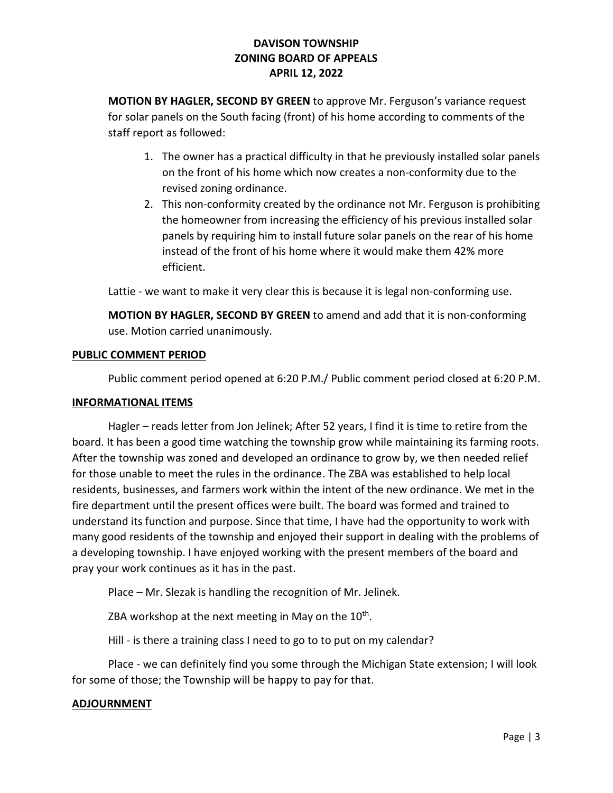MOTION BY HAGLER, SECOND BY GREEN to approve Mr. Ferguson's variance request for solar panels on the South facing (front) of his home according to comments of the staff report as followed:

- 1. The owner has a practical difficulty in that he previously installed solar panels on the front of his home which now creates a non-conformity due to the revised zoning ordinance.
- 2. This non-conformity created by the ordinance not Mr. Ferguson is prohibiting the homeowner from increasing the efficiency of his previous installed solar panels by requiring him to install future solar panels on the rear of his home instead of the front of his home where it would make them 42% more efficient.

Lattie - we want to make it very clear this is because it is legal non-conforming use.

MOTION BY HAGLER, SECOND BY GREEN to amend and add that it is non-conforming use. Motion carried unanimously.

## PUBLIC COMMENT PERIOD

Public comment period opened at 6:20 P.M./ Public comment period closed at 6:20 P.M.

## INFORMATIONAL ITEMS

 Hagler – reads letter from Jon Jelinek; After 52 years, I find it is time to retire from the board. It has been a good time watching the township grow while maintaining its farming roots. After the township was zoned and developed an ordinance to grow by, we then needed relief for those unable to meet the rules in the ordinance. The ZBA was established to help local residents, businesses, and farmers work within the intent of the new ordinance. We met in the fire department until the present offices were built. The board was formed and trained to understand its function and purpose. Since that time, I have had the opportunity to work with many good residents of the township and enjoyed their support in dealing with the problems of a developing township. I have enjoyed working with the present members of the board and pray your work continues as it has in the past.

Place – Mr. Slezak is handling the recognition of Mr. Jelinek.

ZBA workshop at the next meeting in May on the  $10<sup>th</sup>$ .

Hill - is there a training class I need to go to to put on my calendar?

 Place - we can definitely find you some through the Michigan State extension; I will look for some of those; the Township will be happy to pay for that.

## ADJOURNMENT